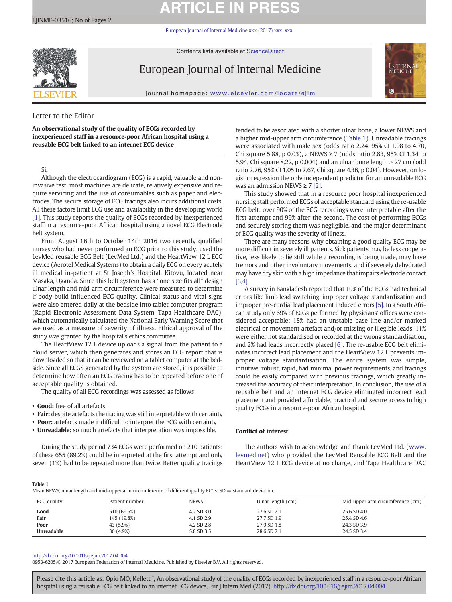# **ARTICLE IN PRESS**

[European Journal of Internal Medicine xxx \(2017\) xxx](http://dx.doi.org/10.1016/j.ejim.2017.04.004)–xxx

Contents lists available at ScienceDirect



European Journal of Internal Medicine



journal homepage: <www.elsevier.com/locate/ejim>

# Letter to the Editor

An observational study of the quality of ECGs recorded by inexperienced staff in a resource-poor African hospital using a reusable ECG belt linked to an internet ECG device

# Sir

Although the electrocardiogram (ECG) is a rapid, valuable and noninvasive test, most machines are delicate, relatively expensive and require servicing and the use of consumables such as paper and electrodes. The secure storage of ECG tracings also incurs additional costs. All these factors limit ECG use and availability in the developing world [\[1\].](#page-1-0) This study reports the quality of ECGs recorded by inexperienced staff in a resource-poor African hospital using a novel ECG Electrode Belt system.

From August 16th to October 14th 2016 two recently qualified nurses who had never performed an ECG prior to this study, used the LevMed reusable ECG Belt (LevMed Ltd.) and the HeartView 12 L ECG device (Aerotel Medical Systems) to obtain a daily ECG on every acutely ill medical in-patient at St Joseph's Hospital, Kitovu, located near Masaka, Uganda. Since this belt system has a "one size fits all" design ulnar length and mid-arm circumference were measured to determine if body build influenced ECG quality. Clinical status and vital signs were also entered daily at the bedside into tablet computer program (Rapid Electronic Assessment Data System, Tapa Healthcare DAC), which automatically calculated the National Early Warning Score that we used as a measure of severity of illness. Ethical approval of the study was granted by the hospital's ethics committee.

The HeartView 12 L device uploads a signal from the patient to a cloud server, which then generates and stores an ECG report that is downloaded so that it can be reviewed on a tablet computer at the bedside. Since all ECGS generated by the system are stored, it is possible to determine how often an ECG tracing has to be repeated before one of acceptable quality is obtained.

The quality of all ECG recordings was assessed as follows:

- Good: free of all artefacts
- Fair: despite artefacts the tracing was still interpretable with certainty
- Poor: artefacts made it difficult to interpret the ECG with certainty
- Unreadable: so much artefacts that interpretation was impossible.

During the study period 734 ECGs were performed on 210 patients: of these 655 (89.2%) could be interpreted at the first attempt and only seven (1%) had to be repeated more than twice. Better quality tracings tended to be associated with a shorter ulnar bone, a lower NEWS and a higher mid-upper arm circumference (Table 1). Unreadable tracings were associated with male sex (odds ratio 2.24, 95% CI 1.08 to 4.70, Chi square 5.88, p 0.03), a NEWS ≥ 7 (odds ratio 2.83, 95% CI 1.34 to 5.94, Chi square 8.22, p 0.004) and an ulnar bone length  $>$  27 cm (odd ratio 2.76, 95% CI 1.05 to 7.67, Chi square 4.36, p 0.04). However, on logistic regression the only independent predictor for an unreadable ECG was an admission NEWS  $\geq 7$  [\[2\].](#page-1-0)

This study showed that in a resource poor hospital inexperienced nursing staff performed ECGs of acceptable standard using the re-usable ECG belt: over 90% of the ECG recordings were interpretable after the first attempt and 99% after the second. The cost of performing ECGs and securely storing them was negligible, and the major determinant of ECG quality was the severity of illness.

There are many reasons why obtaining a good quality ECG may be more difficult in severely ill patients. Sick patients may be less cooperative, less likely to lie still while a recording is being made, may have tremors and other involuntary movements, and if severely dehydrated may have dry skin with a high impedance that impairs electrode contact [\[3,4\].](#page-1-0)

A survey in Bangladesh reported that 10% of the ECGs had technical errors like limb lead switching, improper voltage standardization and improper pre-cordial lead placement induced errors [\[5\]](#page-1-0). In a South African study only 69% of ECGs performed by physicians' offices were considered acceptable: 18% had an unstable base-line and/or marked electrical or movement artefact and/or missing or illegible leads, 11% were either not standardised or recorded at the wrong standardisation, and 2% had leads incorrectly placed [\[6\].](#page-1-0) The re-usable ECG belt eliminates incorrect lead placement and the HeartView 12 L prevents improper voltage standardisation. The entire system was simple, intuitive, robust, rapid, had minimal power requirements, and tracings could be easily compared with previous tracings, which greatly increased the accuracy of their interpretation. In conclusion, the use of a reusable belt and an internet ECG device eliminated incorrect lead placement and provided affordable, practical and secure access to high quality ECGs in a resource-poor African hospital.

## Conflict of interest

The authors wish to acknowledge and thank LevMed Ltd. [\(www.](http://www.levmed.net) [levmed.net\)](http://www.levmed.net) who provided the LevMed Reusable ECG Belt and the HeartView 12 L ECG device at no charge, and Tapa Healthcare DAC

Table 1

Mean NEWS, ulnar length and mid-upper arm circumference of different quality ECGs: SD = standard deviation.

| ECG quality | Patient number | <b>NEWS</b> | Ulnar length (cm) | Mid-upper arm circumference (cm) |
|-------------|----------------|-------------|-------------------|----------------------------------|
| Good        | 510 (69.5%)    | 4.2 SD 3.0  | 27.6 SD 2.1       | 25.6 SD 4.0                      |
| Fair        | 145 (19.8%)    | 4.1 SD 2.9  | 27.7 SD 1.9       | 25.4 SD 4.6                      |
| Poor        | 43 (5.9%)      | 4.2 SD 2.8  | 27.9 SD 1.8       | 24.3 SD 3.9                      |
| Unreadable  | 36 (4.9%)      | 5.8 SD 3.5  | 28.6 SD 2.1       | 24.5 SD 3.4                      |

### <http://dx.doi.org/10.1016/j.ejim.2017.04.004>

0953-6205/© 2017 European Federation of Internal Medicine. Published by Elsevier B.V. All rights reserved.

Please cite this article as: Opio MO, Kellett J, An observational study of the quality of ECGs recorded by inexperienced staff in a resource-poor African hospital using a reusable ECG belt linked to an internet ECG device, Eur J Intern Med (2017), <http://dx.doi.org/10.1016/j.ejim.2017.04.004>